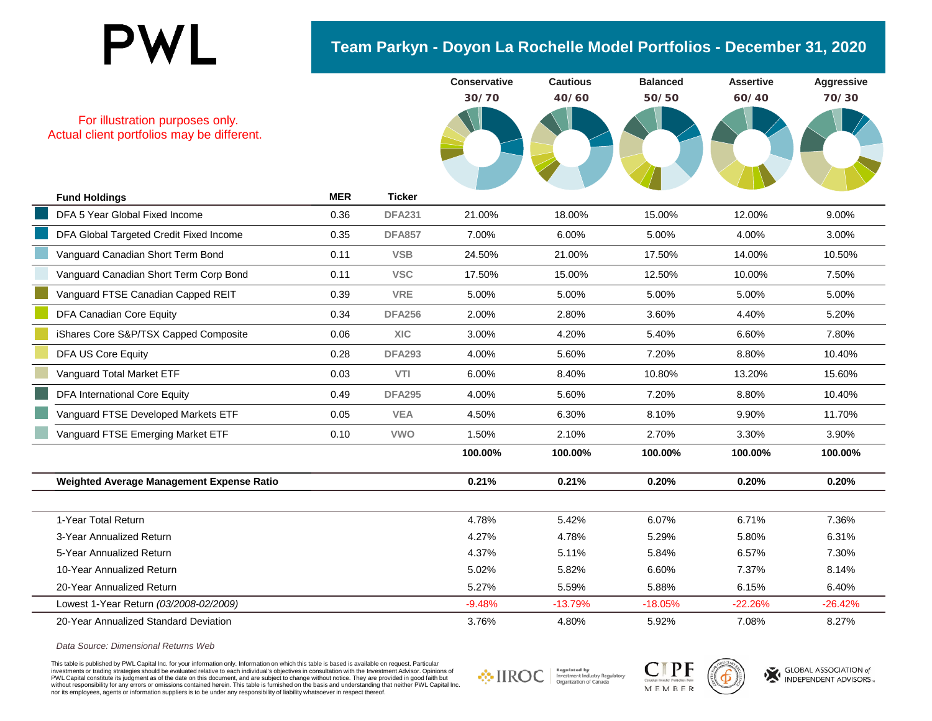## **PWL**

## **Team Parkyn - Doyon La Rochelle Model Portfolios - December 31, 2020**

| For illustration purposes only.<br>Actual client portfolios may be different. |            |               | <b>Conservative</b><br>30/70 | <b>Cautious</b><br>40/60 | <b>Balanced</b><br>50/50 | <b>Assertive</b><br>60/40 | Aggressive<br>70/30 |
|-------------------------------------------------------------------------------|------------|---------------|------------------------------|--------------------------|--------------------------|---------------------------|---------------------|
| <b>Fund Holdings</b>                                                          | <b>MER</b> | <b>Ticker</b> |                              |                          |                          |                           |                     |
| DFA 5 Year Global Fixed Income                                                | 0.36       | <b>DFA231</b> | 21.00%                       | 18.00%                   | 15.00%                   | 12.00%                    | 9.00%               |
| DFA Global Targeted Credit Fixed Income                                       | 0.35       | <b>DFA857</b> | 7.00%                        | 6.00%                    | 5.00%                    | 4.00%                     | 3.00%               |
| Vanguard Canadian Short Term Bond                                             | 0.11       | <b>VSB</b>    | 24.50%                       | 21.00%                   | 17.50%                   | 14.00%                    | 10.50%              |
| Vanguard Canadian Short Term Corp Bond                                        | 0.11       | <b>VSC</b>    | 17.50%                       | 15.00%                   | 12.50%                   | 10.00%                    | 7.50%               |
| Vanguard FTSE Canadian Capped REIT                                            | 0.39       | <b>VRE</b>    | 5.00%                        | 5.00%                    | 5.00%                    | 5.00%                     | 5.00%               |
| DFA Canadian Core Equity                                                      | 0.34       | <b>DFA256</b> | 2.00%                        | 2.80%                    | 3.60%                    | 4.40%                     | 5.20%               |
| iShares Core S&P/TSX Capped Composite                                         | 0.06       | <b>XIC</b>    | 3.00%                        | 4.20%                    | 5.40%                    | 6.60%                     | 7.80%               |
| <b>DFA US Core Equity</b>                                                     | 0.28       | <b>DFA293</b> | 4.00%                        | 5.60%                    | 7.20%                    | 8.80%                     | 10.40%              |
| Vanguard Total Market ETF                                                     | 0.03       | VTI           | 6.00%                        | 8.40%                    | 10.80%                   | 13.20%                    | 15.60%              |
| <b>DFA International Core Equity</b>                                          | 0.49       | <b>DFA295</b> | 4.00%                        | 5.60%                    | 7.20%                    | 8.80%                     | 10.40%              |
| Vanguard FTSE Developed Markets ETF                                           | 0.05       | <b>VEA</b>    | 4.50%                        | 6.30%                    | 8.10%                    | 9.90%                     | 11.70%              |
| Vanguard FTSE Emerging Market ETF                                             | 0.10       | <b>VWO</b>    | 1.50%                        | 2.10%                    | 2.70%                    | 3.30%                     | 3.90%               |
|                                                                               |            |               | 100.00%                      | 100.00%                  | 100.00%                  | 100.00%                   | 100.00%             |
| Weighted Average Management Expense Ratio                                     |            |               | 0.21%                        | 0.21%                    | 0.20%                    | 0.20%                     | 0.20%               |
|                                                                               |            |               |                              |                          |                          |                           |                     |
| 1-Year Total Return                                                           |            |               | 4.78%                        | 5.42%                    | 6.07%                    | 6.71%                     | 7.36%               |
| 3-Year Annualized Return                                                      |            |               | 4.27%                        | 4.78%                    | 5.29%                    | 5.80%                     | 6.31%               |
| 5-Year Annualized Return                                                      |            |               | 4.37%                        | 5.11%                    | 5.84%                    | 6.57%                     | 7.30%               |
| 10-Year Annualized Return                                                     |            |               | 5.02%                        | 5.82%                    | 6.60%                    | 7.37%                     | 8.14%               |
| 20-Year Annualized Return                                                     |            |               | 5.27%                        | 5.59%                    | 5.88%                    | 6.15%                     | 6.40%               |
| Lowest 1-Year Return (03/2008-02/2009)                                        |            |               | $-9.48%$                     | $-13.79%$                | $-18.05%$                | $-22.26%$                 | $-26.42%$           |
| 20-Year Annualized Standard Deviation                                         |            |               | 3.76%                        | 4.80%                    | 5.92%                    | 7.08%                     | 8.27%               |

*Data Source: Dimensional Returns Web*

This table is published by PWL Capital Inc. for your information only. Information on which this table is based is available on request. Particular investments or trading strategies should be evaluated relative to each individual's objectives in consultation with the Investment Advisor. Opinions of<br>PWL Capital constitute its judgment as of the date on this document, a without responsibility for any errors or omissions contained herein. This table is furnished on the basis and understanding that neither PWL Capital Inc.<br>nor its employees, agents or information suppliers is to be under an

Regulated by<br>Investment Industry Regulatory **☆IIROC** Organization of Canada



GLOBAL ASSOCIATION of INDEPENDENT ADVISORS